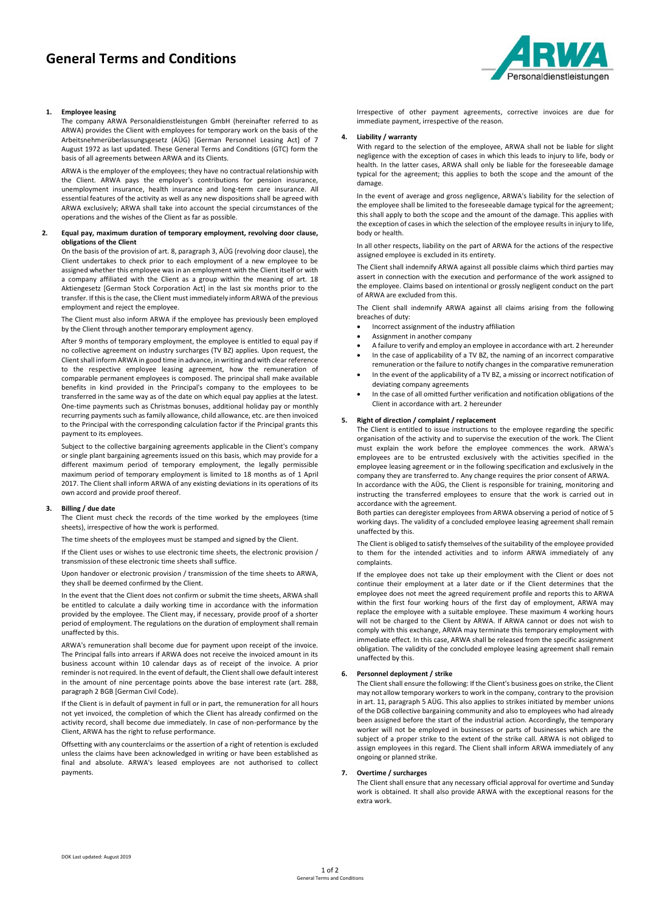

## **1. Employee leasing**

The company ARWA Personaldienstleistungen GmbH (hereinafter referred to as ARWA) provides the Client with employees for temporary work on the basis of the Arbeitsnehmerüberlassungsgesetz (AÜG) [German Personnel Leasing Act] of 7 August 1972 as last updated. These General Terms and Conditions (GTC) form the basis of all agreements between ARWA and its Clients.

ARWA is the employer of the employees; they have no contractual relationship with the Client. ARWA pays the employer's contributions for pension insurance, unemployment insurance, health insurance and long-term care insurance. All essential features of the activity as well as any new dispositions shall be agreed with ARWA exclusively; ARWA shall take into account the special circumstances of the operations and the wishes of the Client as far as possible.

### **2. Equal pay, maximum duration of temporary employment, revolving door clause, obligations of the Client**

On the basis of the provision of art. 8, paragraph 3, AÜG (revolving door clause), the Client undertakes to check prior to each employment of a new employee to be assigned whether this employee was in an employment with the Client itself or with a company affiliated with the Client as a group within the meaning of art. 18 Aktiengesetz [German Stock Corporation Act] in the last six months prior to the transfer. If this is the case, the Client must immediately inform ARWA of the previous employment and reject the employee.

The Client must also inform ARWA if the employee has previously been employed by the Client through another temporary employment agency.

After 9 months of temporary employment, the employee is entitled to equal pay if no collective agreement on industry surcharges (TV BZ) applies. Upon request, the Client shall inform ARWA in good time in advance, in writing and with clear reference to the respective employee leasing agreement, how the remuneration of comparable permanent employees is composed. The principal shall make available benefits in kind provided in the Principal's company to the employees to be transferred in the same way as of the date on which equal pay applies at the latest. One-time payments such as Christmas bonuses, additional holiday pay or monthly recurring payments such as family allowance, child allowance, etc. are then invoiced to the Principal with the corresponding calculation factor if the Principal grants this payment to its employees.

Subject to the collective bargaining agreements applicable in the Client's company or single plant bargaining agreements issued on this basis, which may provide for a different maximum period of temporary employment, the legally permissible maximum period of temporary employment is limited to 18 months as of 1 April 2017. The Client shall inform ARWA of any existing deviations in its operations of its own accord and provide proof thereof.

#### **3. Billing / due date**

The Client must check the records of the time worked by the employees (time sheets), irrespective of how the work is performed.

The time sheets of the employees must be stamped and signed by the Client.

If the Client uses or wishes to use electronic time sheets, the electronic provision / transmission of these electronic time sheets shall suffice.

Upon handover or electronic provision / transmission of the time sheets to ARWA, they shall be deemed confirmed by the Client.

In the event that the Client does not confirm or submit the time sheets, ARWA shall be entitled to calculate a daily working time in accordance with the information provided by the employee. The Client may, if necessary, provide proof of a shorter period of employment. The regulations on the duration of employment shall remain unaffected by this.

ARWA's remuneration shall become due for payment upon receipt of the invoice. The Principal falls into arrears if ARWA does not receive the invoiced amount in its business account within 10 calendar days as of receipt of the invoice. A prior reminder is not required. In the event of default, the Client shall owe default interest in the amount of nine percentage points above the base interest rate (art. 288, paragraph 2 BGB [German Civil Code).

If the Client is in default of payment in full or in part, the remuneration for all hours not yet invoiced, the completion of which the Client has already confirmed on the activity record, shall become due immediately. In case of non-performance by the Client, ARWA has the right to refuse performance.

Offsetting with any counterclaims or the assertion of a right of retention is excluded unless the claims have been acknowledged in writing or have been established as final and absolute. ARWA's leased employees are not authorised to collect payments.

Irrespective of other payment agreements, corrective invoices are due for immediate payment, irrespective of the reason.

## **4. Liability / warranty**

With regard to the selection of the employee, ARWA shall not be liable for slight negligence with the exception of cases in which this leads to injury to life, body or health. In the latter cases, ARWA shall only be liable for the foreseeable damage typical for the agreement; this applies to both the scope and the amount of the damage.

In the event of average and gross negligence, ARWA's liability for the selection of the employee shall be limited to the foreseeable damage typical for the agreement; this shall apply to both the scope and the amount of the damage. This applies with the exception of cases in which the selection of the employee results in injury to life, body or health.

In all other respects, liability on the part of ARWA for the actions of the respective assigned employee is excluded in its entirety.

The Client shall indemnify ARWA against all possible claims which third parties may assert in connection with the execution and performance of the work assigned to the employee. Claims based on intentional or grossly negligent conduct on the part of ARWA are excluded from this.

The Client shall indemnify ARWA against all claims arising from the following breaches of duty:

- Incorrect assignment of the industry affiliation
- Assignment in another company
- A failure to verify and employ an employee in accordance with art. 2 hereunder In the case of applicability of a TV BZ, the naming of an incorrect comparative
- remuneration or the failure to notify changes in the comparative remuneration In the event of the applicability of a TV BZ, a missing or incorrect notification of deviating company agreements
- In the case of all omitted further verification and notification obligations of the Client in accordance with art. 2 hereunder

### **5. Right of direction / complaint / replacement**

The Client is entitled to issue instructions to the employee regarding the specific organisation of the activity and to supervise the execution of the work. The Client must explain the work before the employee commences the work. ARWA's employees are to be entrusted exclusively with the activities specified in the employee leasing agreement or in the following specification and exclusively in the company they are transferred to. Any change requires the prior consent of ARWA. In accordance with the AÜG, the Client is responsible for training, monitoring and instructing the transferred employees to ensure that the work is carried out in accordance with the agreement.

Both parties can deregister employees from ARWA observing a period of notice of 5 working days. The validity of a concluded employee leasing agreement shall remain unaffected by this.

The Client is obliged to satisfy themselves of the suitability of the employee provided to them for the intended activities and to inform ARWA immediately of any complaints.

If the employee does not take up their employment with the Client or does not continue their employment at a later date or if the Client determines that the employee does not meet the agreed requirement profile and reports this to ARWA within the first four working hours of the first day of employment, ARWA may replace the employee with a suitable employee. These maximum 4 working hours will not be charged to the Client by ARWA. If ARWA cannot or does not wish to comply with this exchange, ARWA may terminate this temporary employment with immediate effect. In this case, ARWA shall be released from the specific assignment obligation. The validity of the concluded employee leasing agreement shall remain unaffected by this.

## **6. Personnel deployment / strike**

The Client shall ensure the following: If the Client's business goes on strike, the Client may not allow temporary workers to work in the company, contrary to the provision in art. 11, paragraph 5 AÜG. This also applies to strikes initiated by member unions of the DGB collective bargaining community and also to employees who had already been assigned before the start of the industrial action. Accordingly, the temporary worker will not be employed in businesses or parts of businesses which are the subject of a proper strike to the extent of the strike call. ARWA is not obliged to assign employees in this regard. The Client shall inform ARWA immediately of any ongoing or planned strike.

#### **7. Overtime / surcharges**

The Client shall ensure that any necessary official approval for overtime and Sunday work is obtained. It shall also provide ARWA with the exceptional reasons for the extra work.